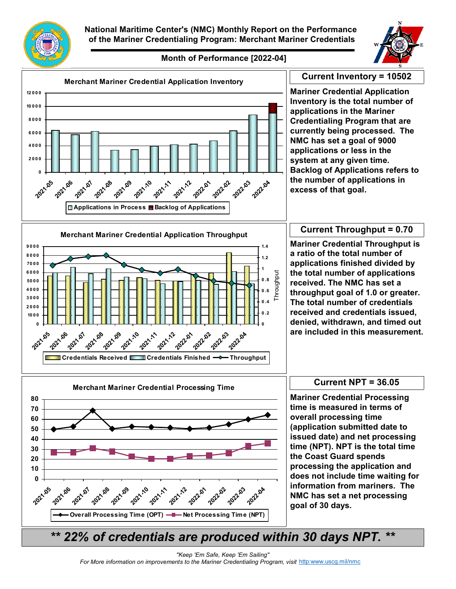



## **Month of Performance [2022-04]**



*\*\* 22% of credentials are produced within 30 days NPT. \*\**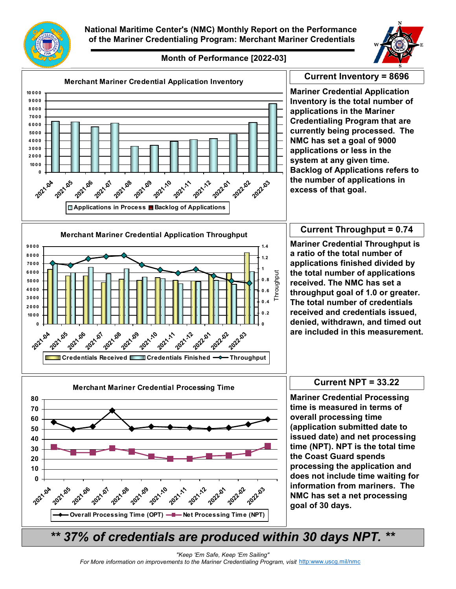



## **Month of Performance [2022-03]**



*\*\* 37% of credentials are produced within 30 days NPT. \*\**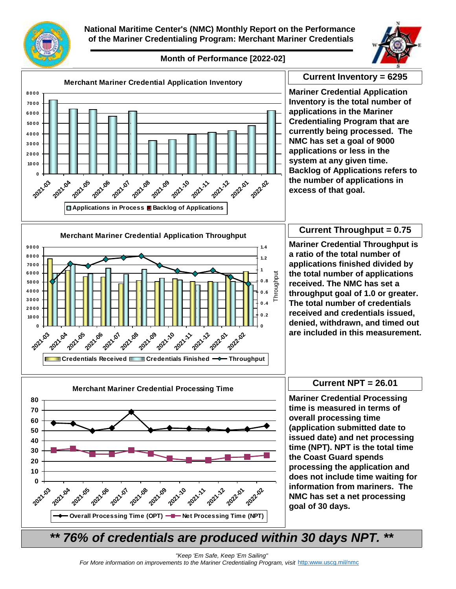

**National Maritime Center's (NMC) Monthly Report on the Performance of the Mariner Credentialing Program: Merchant Mariner Credentials**



## **Month of Performance [2022-02]**



*\*\* 76% of credentials are produced within 30 days NPT. \*\**